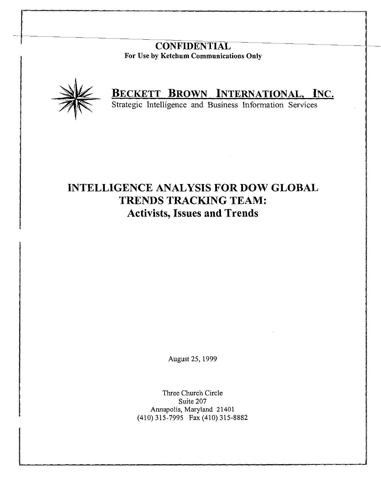**CONFIDENTIAL** For Use by Ketchum Communications Only



# **BECKETT BROWN INTERNATIONAL, INC.**

Strategic Intelligence and Business Information Services

# **INTELLIGENCE ANALYSIS FOR DOW GLOBAL TRENDS TRACKING TEAM: Activists, Issues and Trends**

August 25,1999

Three Church Circle Suite 207 Annapolis, Maryland 21401 (410) 315-7995 Fax (410) 315-8882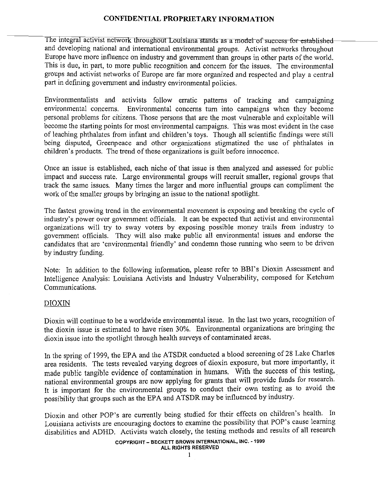# CONFIDENTIAL PROPRIETARY INFORMATION

The integral activist network throughout Louisiana stands as a model of success for established and developing national and international environmental groups. Activist networks throughout Europe have more influence on industry and government than groups in other parts of the world. This is due, in part, to more public recognition and concern for the issues. The environmental groups and activist networks of Europe are far more organized and respected and playa central part in defining government and industry environmental policies.

Environmentalists and activists follow erratic patterns of tracking and campaigning environmental concerns. Environmental concerns turn into campaigns when they become personal problems for citizens. Those persons that are the most vulnerable and exploitable will become the starting points for most environmental campaigns. This was most evident in the case of leaching phthalates from infant and children's toys. Though all scientific findings were still being disputed, Greenpeace and other organizations stigmatized the use of phthalates in children's products. The trend of these organizations is guilt before innocence.

Once an issue is established, each niche of that issue is then analyzed and assessed for public impact and success rate. Large environmental groups will recruit smaller, regional groups that track the same issues. Many times the larger and more influential groups can compliment the work of the smaller groups by bringing an issue to the national spotlight.

The fastest growing trend in the environmental movement is exposing and breaking the cycle of industry's power over government officials. It can be expected that activist and environmental organizations will try to sway voters by exposing possible money trails from industry to government officials. They will also make public all environmental issues and endorse the candidates that are 'environmental friendly' and condemn those running who seem to be driven by industry funding.

Note: In addition to the following information, please refer to BBI's Dioxin Assessment and Intelligence Analysis: Louisiana Activists and Industry Vulnerability, composed for Ketchum Communications.

### DIOXIN

Dioxin will continue to be a worldwide environmental issue. In the last two years, recognition of the dioxin issue is estimated to have risen 30%. Environmental organizations are bringing the dioxin issue into the spotlight through health surveys of contaminated areas.

In the spring of 1999, the EPA and the ATSDR conducted a blood screening of 28 Lake Charles area residents. The tests revealed varying degrees of dioxin exposure, but more importantly, it made public tangible evidence of contamination in humans. With the success of this testing, national environmental groups are now applying for grants that will provide funds for research. It is important for the environmental groups to conduct their own testing as to avoid the possibility that groups such as the EPA and ATSDR may be influenced by industry.

Dioxin and other POP's are currently being studied for their effects on children's health. In Louisiana activists are encouraging doctors to examine the possibility that POP's cause learning disabilities and ADHD. Activists watch closely, the testing methods and results of all research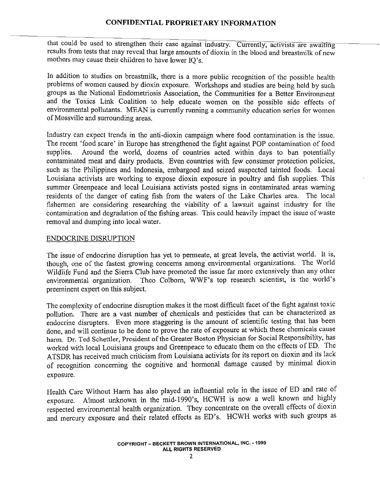that could be used to strengthen their case against industry. Currently, activists are awaiting results from tests that may reveal that large amounts of dioxin in the blood and breastmilk of new mothers may cause their children to have lower IQ's.

In addition to studies on breastmilk, there is a more public recognition of the possible health problems of women caused by dioxin exposure. Workshops and studies are being held by such groups as the National Endometriosis Association, the Communities for a Better Environment and the Toxics Link Coalition to help educate women on the possible side effects of environmental pollutants. MEAN is currently running a community education series for women of Mossville and surrounding areas.

Industry can expect trends in the anti-dioxin campaign where food contamination is the issue. The recent 'food scare' in Europe has strengthened the fight against POP contamination of food supplies. Around the world, dozens of countries acted within days to ban potentially contaminated meat and dairy products. Even countries with few consumer protection policies, such as the Philippines and Indonesia, embargoed and seized suspected tainted foods. Local Louisiana activists are working to expose dioxin exposure in poultry and fish supplies. This summer Greenpeace and local Louisiana activists posted signs in contaminated areas warning residents of the danger of eating fish from the waters of the Lake Charles area. The local fishermen are considering researching the viability of a lawsuit against industry for the contamination and degradation of the fishing areas. This could heavily impact the issue of waste removal and dumping into local water.

# ENDOCRINE DISRUPTION

The issue of endocrine disruption has yet to permeate, at great levels, the activist world. It is, though, one of the fastest growing concerns among environmental organizations. The World Wildlife Fund and the Sierra Club have promoted the issue far more extensively than any other environmental organization. Theo Colborn, WWF's top research scientist, is the world's preeminent expert on this subject.

The complexity of endocrine disruption makes it the most difficult facet of the fight against toxic pollution. There are a vast number of chemicals and pesticides that can be characterized as endocrine disrupters. Even more staggering is the amount of scientific testing that has been done, and will continue to be done to prove the rate of exposure at which these chemicals cause harm. Dr. Ted Schettler, President of the Greater Boston Physician for Social Responsibility, has worked with local Louisiana groups and Greenpeace to educate them on the effects of ED. The ATSDR has received much criticism from Louisiana activists for its report on dioxin and its lack of recognition concerning the cognitive and hormonal damage caused by minimal dioxin exposure.

Health Care Without Harm has also played an influential role in the issue of ED and rate of exposure. Almost unknown in the mid-1990's, HCWH is now a well known and highly respected environmental health organization. They concentrate on the overall effects of dioxin and mercury exposure and their related effects as ED's. HCWH works with such groups as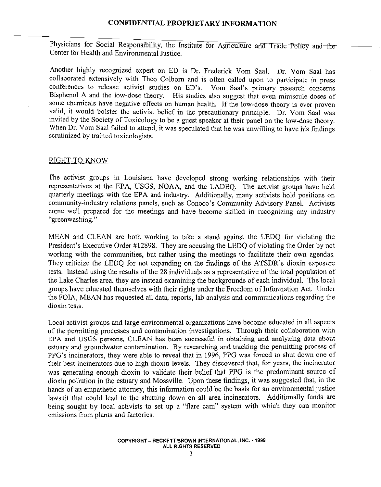Physicians for Social Responsibility, the Institute for Agriculture and Trade Policy and the Center for Health and Environmental Justice.

Another highly recognized expert on ED is Dr. Frederick Vom Saal. Dr. Vom Saal has collaborated extensively with Theo Colborn and is often called upon to participate in press conferences to release activist studies on ED's. Vom Saal's primary research concerns Bisphenol A and the low-dose theory. His studies also suggest that even miniscule doses of some chemicals have negative effects on human health. If the low-dose theory is ever proven valid, it would bolster the activist belief in the precautionary principle. Dr. Vom Saal was invited by the Society of Toxicology to be a guest speaker at their panel on the low-dose theory. When Dr. Vom Saal failed to attend, it was speculated that he was unwilling to have his findings scrutinized by trained toxicologists.

#### RIGHT-TO-KNOW

The activist groups in Louisiana have developed strong working relationships with their representatives at the EPA, USGS, NOAA, and the LADEQ. The activist groups have held quarterly meetings with the EPA and industry. Additionally, many activists hold positions on community-industry relations panels, such as Conoco's Community Advisory Panel. Activists come well prepared for the meetings and have become skilled in recognizing any industry "greenwashing."

MEAN and CLEAN are both working to take a stand against the LEDQ for violating the President's Executive Order #12898. They are accusing the LEDQ of violating the Order by not working with the communities, but rather using the meetings to facilitate their own agendas. They criticize the LEDQ for not expanding on the findings of the ATSDR's dioxin exposure tests. Instead using the results of the 28 individuals as a representative of the total population of the Lake Charles area, they are instead examining the backgrounds of each individual. The local groups have educated themselves with their rights under the Freedom of Information Act. Under the FOIA, MEAN has requested all data, reports, lab analysis and communications regarding the dioxin tests.

Local activist groups and large environmental organizations have become educated in all aspects of the permitting processes and contamination investigations. Through their collaboration with EPA and USGS persons, CLEAN has been successful in obtaining and analyzing data about estuary and groundwater contamination. By researching and tracking the permitting process of PPG's incinerators, they were able to reveal that in 1996, PPG was forced to shut down one of their best incinerators due to high dioxin levels. They discovered that, for years, the incinerator was generating enough dioxin to validate their belief that PPG is the predominant source of dioxin pollution in the estuary and Mossville. Upon these findings, it was suggested that, in the hands of an empathetic attorney, this information could be the basis for an environmental justice lawsuit that could lead to the shutting down on all area incinerators. Additionally funds are being sought by local activists to set up a "flare cam" system with which they can monitor emissions from plants and factories.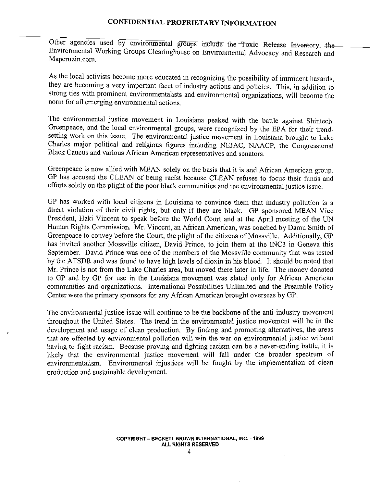Other agencies used by environmental groups include the Toxic Release Inventory, the Environmental Working Groups Clearinghouse on Environmental Advocacy and Research and Mapcruzin.com.

As the local activists become more educated in recognizing the possibility of imminent hazards, they are becoming a very important facet of industry actions and policies. This, in addition to strong ties with prominent environmentalists and environmental organizations, will become the norm for all emerging environmental actions.

The environmental justice movement in Louisiana peaked with the battle against Shintech. Greenpeace, and the local environmental groups, were recognized by the EPA for their trendsetting work on this issue. The environmental justice movement in Louisiana brought to Lake Charles major political and religious figures including NEJAC, NAACP, the Congressional Black Caucus and various African American representatives and senators.

Greenpeace is now allied with MEAN solely on the basis that it is and African American group. GP has accused the CLEAN of being racist because CLEAN refuses to focus their funds and efforts solely on the plight of the poor black communities and the environmental justice issue.

GP has worked with local citizens in Louisiana to convince them that industry pollution is a direct violation of their civil rights, but only if they are black. GP sponsored MEAN Vice President, Haki Vincent to speak before the World Court and at the April meeting of the UN Human Rights Commission. Mr. Vincent, an African American, was coached by Damu Smith of Greenpeace to convey before the Court, the plight of the citizens of Mossville. Additionally, GP has invited another Mossville citizen, David Prince, to join them at the INC3 in Geneva this September. David Prince was one of the members of the Mossville community that was tested by the ATSDR and was found to have high levels of dioxin in his blood. It should be noted that Mr. Prince is not from the Lake Charles area, but moved there later in life. The money donated to GP and by GP for use in the Louisiana movement was slated only for African American communities and organizations. International Possibilities Unlimited and the Preamble Policy Center were the primary sponsors for any African American brought overseas by GP.

The environmental justice issue will continue to be the backbone of the anti-industry movement throughout the United States. The trend in the environmental justice movement will be in the development and usage of clean production. By finding and promoting alternatives, the areas that are effected by environmental pollution will win the war on environmental justice without having to fight racism. Because proving and fighting racism can be a never-ending battle, it is likely that the environmental justice movement will fall under the broader spectrum of environmentalism. Environmental injustices will be fought by the implementation of clean production and sustainable development.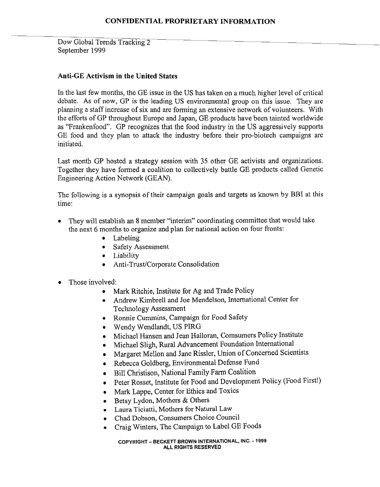Dow Global Trends Tracking 2 September 1999

### Anti-GE Activism in the United States

In the last few months, the GE issue in the US has taken on a much higher level of critical debate. As of now, GP is the leading US envirorunental group on this issue. They are planning a staffincrease ofsix and are forming an extensive network of volunteers. With the efforts of GP throughout Europe and Japan, GE products have been tainted worldwide as "Frankenfood". GP recognizes that the food industry in the US aggressively supports GE food and they plan to attack the industry before their pro-biotech campaigns are initiated.

Last month GP hosted a strategy session with 35 other GE activists and organizations. Together they have formed a coalition to collectively battle GE products called Genetic Engineering Action Network (GEAN).

The following is a synopsis of their campaign goals and targets as known by BBI at this time:

- They will establish an 8 member "interim" coordinating committee that would take the next 6 months to organize and plan for national action on four fronts:
	- Labeling
	- Safety Assessment
	- Liability
	- Anti-Trust/Corporate Consolidation
- Those involved:
	- Mark Ritchie, Institute for Ag and Trade Policy
	- Andrew Kimbrell and Joe Mendelson, International Center for Technology Assessment
	- Ronnie Cummins, Campaign for Food Safety
	- Wendy Wendlandt, US PIRG
	- Michael Hansen and Jean Halloran, Comsumers Policy Institute
	- Michael Sligh, Rural Advancement Foundation International
	- Margaret Mellon and Jane Rissler, Union of Concerned Scientists
	- Rebecca Goldberg, Envirorunental Defense Fund
	- Bill Christison, National Family Farm Coalition
	- Peter Rosset, Institute for Food and Development Policy (Food First!)
	- Mark Lappe, Center for Ethics and Toxics
	- Betsy Lydon, Mothers & Others
	- Laura Ticiatti, Mothers for Natural Law
	- Chad Dobson, Consumers Choice Council
	- Craig Winters, The Campaign to Label GE Foods

#### COPYRIGHT - BECKETT BROWN INTERNATIONAL, INC.• 1999 ALL RIGHTS RESERVED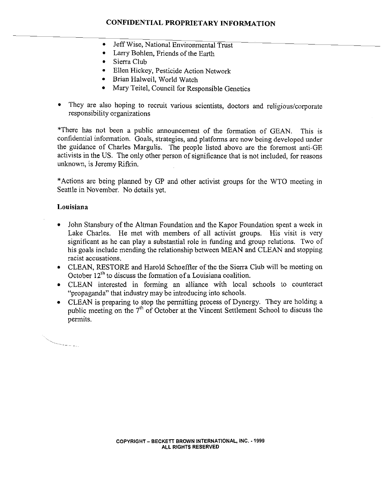- Jeff Wise, National Environmental Trust
- Larry Bohlen, Friends of the Earth
- Sierra Club
- Ellen Hickey, Pesticide Action Network
- Brian Halweil, World Watch
- Mary Teitel, Council for Responsible Genetics
- They are also hoping to recruit various scientists, doctors and religious/corporate responsibility organizations

\*There has not been a public announcement of the formation of GEAN. This is confidential information. Goals, strategies, and platforms are now being developed under the guidance of Charles Margulis. The people listed above are the foremost anti-GE activists in the US. The only other person of significance that is not included, for reasons unknown, is Jeremy Rifkin.

\*Actions are being planned by GP and other activist groups for the WTO meeting in Seattle in November. No details yet.

### Louisiana

- John Stansbury of the Altman Foundation and the Kapor Foundation spent a week in Lake Charles. He met with members of all activist groups. His visit is very significant as he can play a substantial role in funding and group relations. Two of his goals include mending the relationship between MEAN and CLEAN and stopping racist accusations.
- CLEAN, RESTORE and Harold Schoeffler of the the Sierra Club will be meeting on October  $12<sup>th</sup>$  to discuss the formation of a Louisiana coalition.
- CLEAN interested in forming an alliance with local schools to counteract "propaganda" that industry may be introducing into schools.
- CLEAN is preparing to stop the permitting process of Dynergy. They are holding a public meeting on the 7'h of October at the Vincent Settlement School to discuss the permits.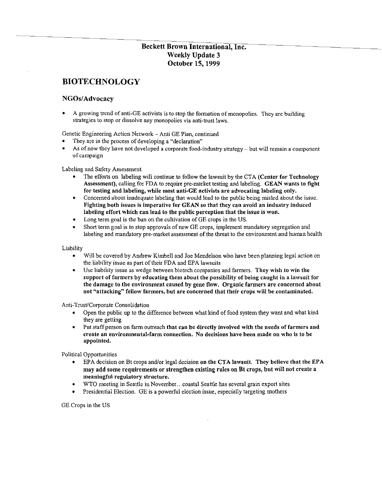# Beckett Brown International, Inc. Weekly Update 3 October 15, 1999

# **BIOTECHNOLOGY**

### NGOs/Advocacy

• A growing trend of anti-Gf activists is to stop the formation of monopolies. They are building **strategies to stop or dissolve any monopolies via anti-trust laws.**

Genetic Engineering Action Network - Anti GE Plan, continued

- **They are in the process of developing"a "declaration"**
- **As of now they have not developed a corporate food-industry strategy - but will remain a component** of campaign

#### Labeling and Safety Assessment

- The efforts on labeling will continue to follow the lawsuit by the CTA (Center for Technology Assessment), calling for FDA to require pre-market testing and labeling. GEAN wants to fight for testing and labeling, while most anti-GE activists are advocating labeling only.
- Concerned about inadequate labeling that would lead to the public being misled about the issue. Fighting both issues is imperative for GEAN so that they can avoid an industry induced labeling effort which can lead to the public perception that the issue is won.
- Long term goal is the ban on the cultivation of GE crops in the US.
- Short term goal is to stop approvals of new GE crops, implement mandatory segregation and labeling and mandatory pre-market assessment of the threat to the environment and human health

#### Liability

- Will be covered by Andrew Kimbell and Joe Mendelson who have been planning legal action on the liability issue as part of their FDA and EPA lawsuits
- Use liability issue as wedge between biotech companies and farmers. They wish to win the support of farmers by educating them about the possibility of being caught in a lawsuit for the damage to the environment caused by gene flow. Organic farmers are concerned about not "attacking" fellow farmers, but are concerned that their crops will be contaminated.

Anti-Trust/Corporate Consolidation

- Open the public up to the difference between what kind of food system they want and what kind they are getting
- Put staff person on farm outreach that can be directly involved with the needs of farmers and **create an** environmental-farm **connection. No decisions have been made on who is to be** appointed.

Political Opportunities

- EPA decision on Bt crops and/or legal decision on the CTA lawsuit. They believe that the EPA may add some requirements or strengthen existing rules on Bt crops, but will not create a **meaningful regulatory structure.**
- WTO meeting in Seattle in November. ..coastal Seattle has several grain export sites
- Presidential Election. GE is a powerful election issue, especially targeting mothers

GE Crops in the US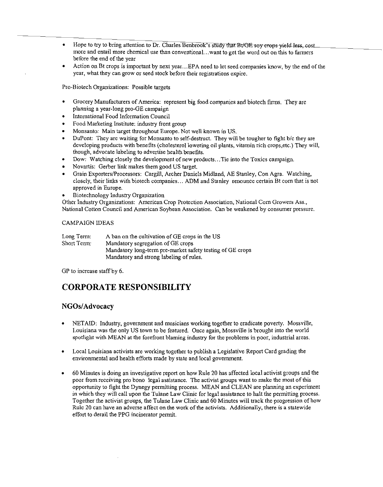- Hope to try to bring attention to Dr. Charles Benbrook's study that Bt/GE soy crops yield less, cost **more and entail more chemical use than conventional. .. want to get the word out on this to farmers** before the end of the year
- Action on Bt crops is important by next year. ..EPA need to let seed companies know, by the end of the **year, what they can grow or seed stock before their registrations expire.**

Pro-Biotech Organizations: Possible targets

- Grocery Manufacturers of America: represent big food companies and biotech firms. They are planning a year-long pro-GE campaign
- International Food Information Council
- Food Marketing Institute: industry front group
- Monsanto: Main target throughout Europe. Not well known in US.
- DuPont: They are waiting for Monsanto to self-destruct. They will be tougher to fight *blc* they are developing products with benefits (cholesterol lowering oil plants, vitamin rich crops.ctc.) They will, though, advocate labeling to advertise health benefits.
- Dow: Watching closely the development of new products... Tie into the Toxics campaign.
- Novartis: Gerber link makes them good US target.
- Grain Exporters/Processors: Cargill, Archer Daniels Midland, AE Stanley, Con Agra. Watching, closely, their links with biotech companies... ADM and Stanley renounce certain Bt corn that is not approved in Europe.
- Biotechnology Industry Organization

**Other Industry Organizations: American Crop Protection Association, National Corn Growers Ass., National Cotton Council and American Soybean Association. Can be weakened by consumer pressure.**

#### CAMPAIGN IDEAS

| Long Term:    | A ban on the cultivation of GE crops in the US            |
|---------------|-----------------------------------------------------------|
| Short Term: . | Mandatory segregation of GE crops                         |
|               | Mandatory long-term pre-market safety testing of GE crops |
|               | Mandatory and strong labeling of rules.                   |

GP to increase staff by 6.

# **CORPORATE RESPONSIBILITY**

#### *NGOsl***Advocacy**

- NETAID: Industry, government and musicians working together to eradicate poverty. Mossville, Louisiana was the only US town to be featured. Once again, Mossville is brought into the world spotlight with MEAN at the forefront blaming industry for the problems in poor, industrial areas.
- Local Louisiana activists are working together to publish a Legislative Report Card grading the environmental and health efforts made by state and local government.
- 60 Minutes is doing an investigative report on how Rule 20 has affected local activist groups and the **poor from receiving pro bono legal assistance. The activist groups want to make the most** ofthis opportunity to fight the Dynegy permitting process. MEAN and CLEAN are planning an experiment in which they will call upon the Tulane Law Clinic for legal assistance to halt the permitting process. Together the activist groups, the Tulane Law Clinic and 60 Minutes will track the progression of how Rule 20 can have an adverse affect on the work of the activists. Additionally, there is a statewide effort to derail the PPG incinerator permit.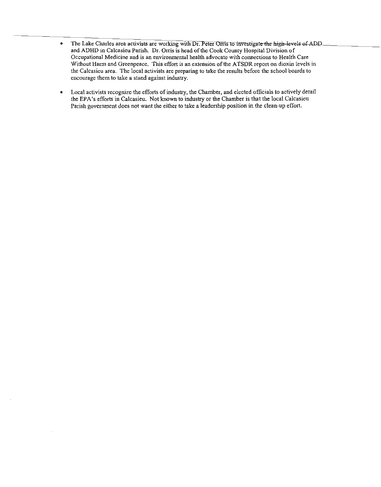- The Lake Charles area activists are working with Dr. Peter Orris to investigate the high-levels of ADD and ADHD in Calcasieu Parish. Dr. Orris is head of the Cook County Hospital Division of **Occupational Medicine and is an environmental health advocate with** connections **to Health Care Without Harm and Greenpeace. This effort is an extension ofthe ATSDR report on dioxin levels in** the Calcasieu area. The local activists are preparing to take the results before the school boards to **encourage them to take a stand against industry.**
- Local activists recognize the efforts of industry, the Chamber, and elected officials to actively derail the EPA's efforts in Calcasieu. Not known to industry or the Chamber is that the local Calcasieu Parish govermnent does not want the either to take a leadership position in the clean-up effort.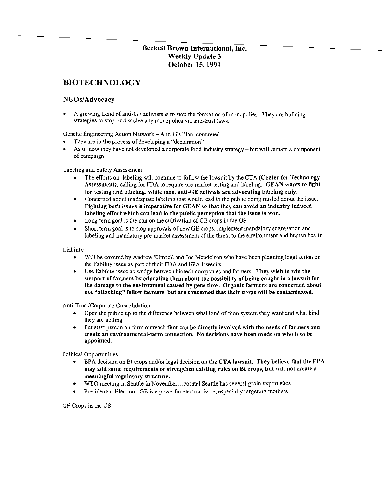## Beckett Brown International, Inc. Weekly Update 3 October 15, 1999

# BIOTECHNOLOGY

### NGOs/Advocacy

• A growing trend of anti-GE activists is to stop the formation of monopolies. They are building strategies to stop or dissolve any monopolies via anti-trust laws.

Genetic Engineering Action Network - Anti GE Plan, continued

- They are in the process of developing a "declaration"
- As of now they have not developed a corporate food-industry strategy but will remain a component of campaign

#### Labeling and Safety Assessment

- The efforts on labeling will continue to follow the lawsuit by the CTA (Center for Technology Assessment), calling for FDA to require pre-market testing and labeling. GEAN wants to fight for testing and labeling, while most anti-GE activists are advocating labeling only.
- Concerned about inadequate labeling that would lead to the public being misled about the issue. Fighting both issues is imperative for GEAN so that they can avoid an industry induced labeling effort which can lead to the public perception that the issue is won.
- o Long term goal is the ban on the cultivation of GE crops in the US.
- Short term goal is to stop approvals of new GE crops, implement mandatory segregation and labeling and mandatory pre-market assessment of the threat to the environment and human health

#### Liability

- o Will be covered by Andrew Kimbell and Joe Mendelson who have been planning legal action on the liability issue as part of their FDA and EPA lawsuits
- Use liability issue as wedge between biotech companies and farmers. **They wish to win the** support of farmers by educating them about the possibility of being caught in a lawsuit for the damage to the environment caused by gene flow. Organic farmers are concerned about **not "attacking" fellow farmers, but are concerned that their crops will be contaminated.**

Anti-Trust/Corporate Consolidation

- Open the public up to the difference between what kind of food system they want and what kind they are getting
- Put staff person on farm outreach that can be directly involved with the needs of farmers and **create an environmental-farm connection. No decisions have been made on who is to be** appointed.

Political Opportunities

- EPA decision on Bt crops and/or legal decision on the CTA lawsuit. They believe that the EPA may add some requirements or strengthen existing rules on Bt crops, but will not create a meaningful regulatory structure.
- WTO meeting in Seattle in November... coastal Seattle has several grain export sites
- Presidential Election. GE is a powerful election issue, especially targeting mothers

GE Crops in the US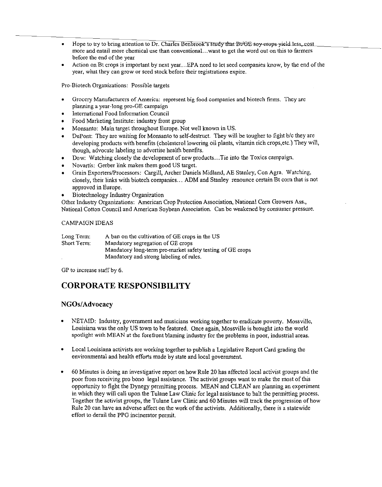- **•** Hope to try to bring attention to Dr. Charles Benbroo **more and entail more chemical use than** conventional. **.. want to get the word out on this to farmers s** study that Bt/GE soy crops yield less, cost<br>want to get the word out on this to farmers.<br>And to let seed companies know by the end of before the end of the year
- Action on Bt crops is important by next year...EPA need to let seed companies know, by the end of the **year, what they can grow or seed stock before their registrations expire.**

**Pro-Biotech Organizations: Possible targets**

- **Grocery Manufacturers of America: represent big food companies and biotech firms.** They are planning a year-long pro-GE campaign
- **International Food Information Council**
- Food Marketing Institute: industry front group
- Monsanto: Main target throughout Europe. Not wel1 known in US.
- DuPont: They are waiting for Monsanto to self-destruct. They will be tougher to fight *blc* they are developing products with benefits (cholesterol lowering oil plants, vitamin rich crops, etc.) They will, though, advocate labeling to advertise health benefits.
- Dow: Watching closely the development ofnewproducts...Tie into the Toxics campaign.
- Novartis: Gerber link makes them good US target.
- Grain Exporters/Processors: Cargill, Archer Daniels Midland, AE Stanley, Con Agra. Watching, closely, their links with biotech companies... ADM and Stanley renounce certain Bt corn that is not approved in Europe.
- Biotechnology Industry Organization

Other Industry Organizations: American Crop Protection Association, National Corn Growers Ass., National Cotton Council and American Soybean Association. Can be weakened by consumer pressure.

#### CAMPAIGN IDEAS

| Long Term:  | A ban on the cultivation of GE crops in the US            |
|-------------|-----------------------------------------------------------|
| Short Term: | Mandatory segregation of GE crops                         |
|             | Mandatory long-term pre-market safety testing of GE crops |
|             | Mandatory and strong labeling of rules.                   |

GP to increase staff by 6.

# **CORPORATE RESPONSIBILITY**

#### **NGOs/Advocacy**

- NETAID: Industry, government and musicians working together to eradicate poverty. Mossville, Louisiana was the only US town to be featured. Once again, Mossville is brought into the world spotlight with MEAN at the forefront blaming industry for the problems in poor, industrial areas.
- Local Louisiana activists are working together to publish a Legislative Report Card grading the environmental and health efforts made by state and local government.
- 60 Minutes is doing an investigative report on how Rule 20 has affected local activist groups and the poor from receiving pro bono legal assistance. The activist groups want to make the most of this opportunity to fight the Dynegy permitting process. MEAN and CLEAN are planning an experiment in which they will call upon the Tulane Law Clinic for legal assistance to halt the permitting process. Together the activist groups, the Tulane Law Clinic and 60 Minutes will track the progression of how Rule 20 can have an adverse affect on the work of the activists. Additionally, there is a statewide effort to derail the PPG incinerator permit.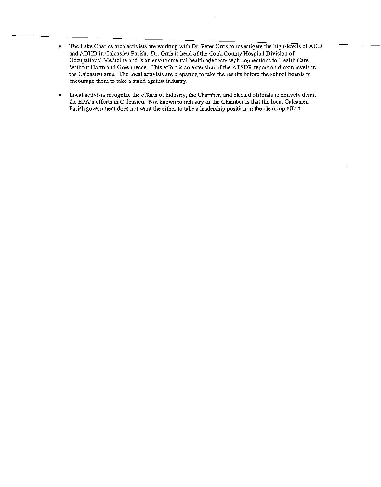- The Lake Charles area activists are working with Dr. Peter Orris to investigate the high-levels of ADD and ADHD in Calcasieu Parish. Dr. Orris is head ofthe Cook County Hospital Division of **Occupational Medicine and is an environmental health advocate with connections to Health Care** Without Harm and Greenpeace. This effort is an extension of the ATSDR report on dioxin levels in **the Calcasieu area. The local activists are preparing to take the results before the school boards to encourage them to take a stand against industry.**
- **Local activists recognize the efforts** ofindustry, **the Chamber, and elected officials to actively derail** the EPA's efforts in Calcasieu. Not known to industry or the Chamber is that the local Calcasieu **Parish government does not want the either to take a leadership position in the clean-up effort.**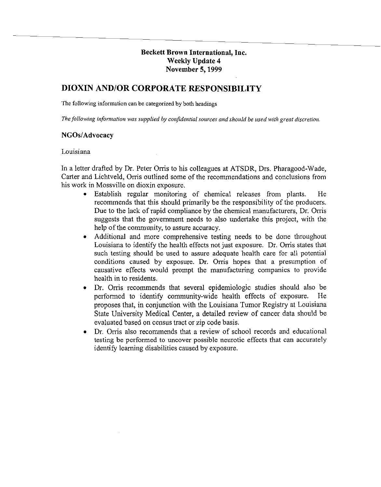# **Beckett Brown International, Inc. Weekly Update 4 November 5, 1999**

# **DIOXIN AND/OR CORPORATE RESPONSIBILITY**

The following information can be categorized by both headings

*The following information was supplied by confidential sources and should be used with great discretion.*

### NGOs/**Advocacy**

Louisiana

In a letter drafted by Dr. Peter Orris to his colleagues at ATSDR, Drs. Pharagood-Wade, Carter and Lichtveld, Orris outlined some of the recommendations and conclusions from his work in Mossville on dioxin exposure.

- Establish regular monitoring of chemical releases from plants. He recommends that this should primarily be the responsibility of the producers. Due to the lack of rapid compliance by the chemical manufacturers, Dr. Orris suggests that the govemment needs to also undertake this project, with the help of the community, to assure accuracy.
- Additional and more comprehensive testing needs to be done throughout Louisiana to identify the health effects not just exposure. Dr. Orris states that such testing should be used to assure adequate health care for all potential conditions caused by exposure. Dr. Orris hopes that a presumption of causative effects would prompt the manufacturing companies to provide health in to residents.
- Dr. Orris recommends that several epidemiologic studies should also be performed to identify community-wide health effects of exposure. He proposes that, in conjunction with the Louisiana Tumor Registry at Louisiana State University Medical Center, a detailed review of cancer data should be evaluated based on census tract or zip code basis.
- Dr. Orris also recommends that a review of school records and educational testing be performed to uncover possible neurotic effects that can accurately identify learning disabilities caused by exposure.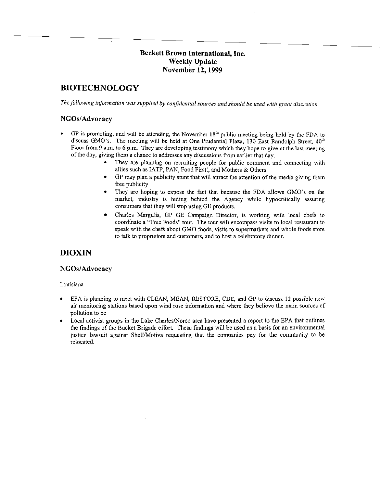# **Beckett Brown International, Inc. Weekly Update November 12, 1999**

# **BIOTECHNOLOGY**

*Thefollowing information was supplied by confidential sources and should be used with great discretion.*

#### **N***GOsl***Advocacy**

- GP is promoting, and will be attending, the November  $18<sup>th</sup>$  public meeting being held by the FDA to discuss GMO's. The meeting will be held at One Prudential Plaza, 130 East Randolph Street, 40<sup>th</sup> Floor from 9 a.m. to 6 p.m. They are developing testimony which they hope to give at the last meeting of the day, giving them a chance to addresses any discussions from earlier that day.
	- They are planning on recruiting people for public comment and connecting with allies such as IATP, PAN, Food First!, and Mothers & Others.
	- GP may plan a publicity stunt that will attract the attention of the media giving them free publicity.
	- They are hoping to expose the fact that because the FDA allows GMO's on the market, industry is hiding behind the Agency while hypocritically assuring consumers that they will stop using GE products.
	- Charles Margulis, GP GE Campaign Director, is working with local chefs to **coordinatea "True Foods"tour. The tour will encompass visits to local restaurant to** speak with the chefs about GMO foods, visits to supermarkets and whole foods store **to talk to proprietors and customers, and to host a celebratory dinner.**

# **DIOXIN**

#### **N***GOsl***Advocacy**

#### **Louisiana**

- EPA is planning to meet with CLEAN, MEAN, RESTORE, CBE, and GP to discuss 12 possible new **air monitoring stations based upon wind rose information and where they believe the main sources of** pollution to be
- Local activist groups in the Lake Charles/Norco area have presented a report to the EPA that outlines the findings of the Bucket Brigade effort. These findings will be used as a basis for an environmental justice lawsuit against ShelllMotiva requesting that the companies pay for the community to be **relocated.**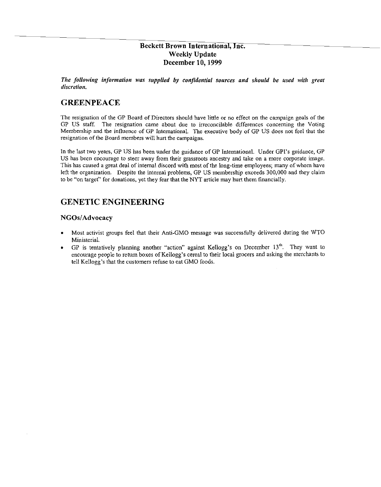### **Beckett Brown International, Inc. Weekly Update December 10, 1999**

*The following information was supplied by confidential sources and should be used with great discretion.*

# **GREENPEACE**

The resignation of the GP Board of Directors should have little or no effect on the campaign goals of the **OP US staff. The resignation came about due to irreconcilable differences concerning the Voting** Membership and the influence of GP International. The executive body of GP US does not feel that the **resignation of the Board members will hurt the campaigns.**

In the last two years, GP US has been under the guidance of GP International. Under GPI's guidance, GP **US has been encourage to steer away from their grassroots ancestry and take on a more corporate image.** This has caused a great deal of internal discord with most of the long-time employees; many of whom have left the organization. Despite the internal problems, GP US membership exceeds 300,000 and they claim to be "on target" for donations, yet they fear that the NYT article may hurt them financially.

# **GENETIC ENGINEERING**

### NGOs/Advocacy

- Most activist groups feel that their Anti-GMO message was successfully delivered during the WTO **Ministerial.**
- GP is tentatively planning another "action" against Kellogg's on December 13<sup>th</sup>. They want to encourage people to return boxes of Kellogg's cereal to their local grocers and asking the merchants to tell Kellogg's that the customers refuse to eat GMO foods.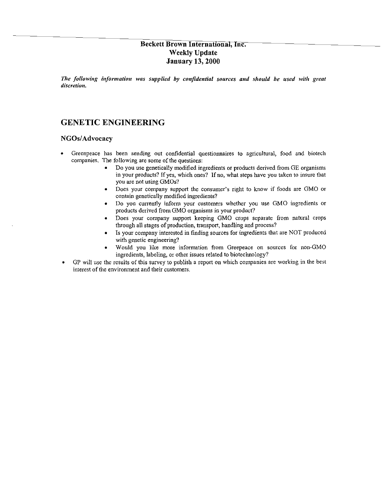## **Beckett Brown International, Inc. Weekly Update January 13, 2000**

*The following information was supplied by confidential sources and should be used with great discretion.*

# **GENETIC ENGINEERING**

#### NGOs/**Advocacy**

- **Greenpeace has been sending out confidential questionnaires to agricultural, food and biotech companies. The following are SOffie ofthe questions:**
	- Do you use genetically modified ingredients or products derived from GE organisms **in your products? If yes, which ones? If no, what steps have you taken to insure that** you are not using GMOs?
	- Does your company support the consumer's right to know if foods are GMO or **contain genetically modified ingredients?**
	- **Do you currently inform your customers whether you use GMO ingredients or** products derived from GMO organisms in your product?
	- Does your company support keeping GMO crops separate from natural crops through all stages of production, transport, handling and process?
	- Is your company interested in finding sources for ingredients that are NOT produced **with genetic engineering?**
	- Would you like more information from Greepeace on sources for non-GMO ingredients, labeling, or other issues related to biotechnology?
- GP will use the results of this survey to publish a report on which companies are working in the best **interest of the environment andtheir customers.**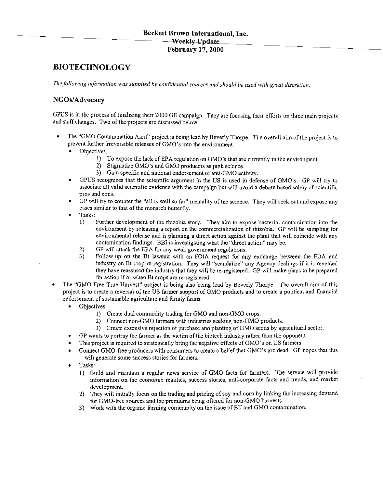# **Beckett Brown International, Inc. Weekly Update February 17, 2000**

# **BIOTECHNOLOGY**

*Thefollowing information was supplied by confidential sources and should be used with great discretion.*

### **NGOs/Advocacy**

GPUS is in the process of finalizing their 2000 GE campaign. They are focusing their efforts on three main projects and staff changes. Two of the projects are discussed below.

- The "GMO Contamination Alert" project is being lead by Beverly Thorpe. The overall aim of the project is to prevent further irreversible releases ofGMO's into the environment.
	- Objectives:
		- I) To expose the lack of EPA regulation on GMO's that are currently in the environment.
		- 2) Stigmatize GMO's and GMO producers as junk science.
		- 3) Gain specific and national endorsement of anti-GMO activity.
	- o GPUS recognizes that the scientific argument in the US is used in defense of GMO's. GP will try to associate all valid scientific evidence with the campaign but will avoid a debate based solely of scientific **pros and cons.**
	- GP will try to counter the "all is well so far" mentality of the science. They will seek out and expose any cases similar to that of the monarch butterfly.
	- **Tasks:**
		- **1) Further development of the rhizobia story. They aim to expose bacterial contamination into the environment by releasing a report on the commercialization of rhizobia. GP will be sampling for environmental release and is planning a direct action against the plant that will coincide with any contamination findings. BBI is investigating what the "direct action" may be.**
		- 2) GP will attack the EPA for any weak government regulations.<br>3) Follow-up on the Bt lawsuit with an FOIA request for an
		- 3) Follow-up on the Bt lawsuit with an FOIA request for any exchange between the FDA and industry on Bt crop re-registration. They will "scandalize" any Agency dealings if it is revealed they have reassured the industry that they will be re-registered. GP will make plans to be prepared **for action if or when Bt crops are** re-registered.
- The "GMO Free True Harvest" project is being also being lead by Beverly Thorpe. The overall aim of this project is to create a reversal of the US farmer support of GMO products and to create a political and financial endorsement of sustainable agriculture and family farms.
	- Objectives:
		- I) Create dual commodity trading for GMO and non-GMO crops.
		- 2) Connect non-GMO farmers with industries seeking non-GMO products.
		- 3) Create extensive rejection of purchase and planting ofGMO seeds by agricultural sector.
	- GP wants to portray the farmer as the victim of the biotech industry rather than the opponent.
	- This project is required to strategically bring the negative effects of GMO's on US farmers.
	- Connect GMO-free producers with consumers to create a belief that GMO's are dead. GP hopes that this **will generate some success storiesfor farmers.**
	- o Tasks:
		- I) Build and maintain a regular news service of GMO facts for farmers. The service will provide **information on the economic realities, success stories, anti-corporate facts and trends, and market** development.
		- 2) They will initially focus on the trading and pricing ofsoy and com by linking the increasing demand for GMO-free sources and the premiums being offered for non-GMO harvests.
		- 3) Work with the organic farming community on the issue ofBT and GMO contamination.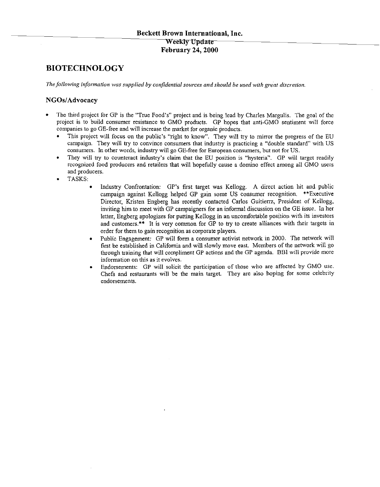# **Beckett Brown International, Inc. Weekly Update February 24, 2000**

# **BIOTECHNOLOGY**

*Thefollowing information was supplied by confidential sources and should be used with great discretion.*

#### **NGOs/Advocacy**

- The third project for GP is the "True Food's" project and is being lead by Charles Margulis. The goal of the project is to build consumer resistance to GMO products. GP hopes that anti-GMO sentiment will force **companies to go GE-free and will increase the market for organic products.**
	- This project will focus on the public's "right to know". They will try to mirror the progress of the EU campaign. They will try to convince consumers that industry is practicing a "double standard" with US **consumers. In other words, industry will go GE-free for European consumers, but not for US.**
	- They will try to counteract industry's claim that the EU position is "hysteria". GP will target readily recognized food producers and retailers that will hopefully cause a domino effect among all GMO users and producers.
	- TASKS:
		- Industry Confrontation: GP's first target was Kellogg. A direct action hit and public campaign against Kellogg helped GP gain some US consumer recognition. \*\*Executive Director, Kristen Engberg has recently contacted Carlos Guitierrz, President of Kellogg, inviting him to meet with GP campaigners for an informal discussion on the GE issue. In her letter, Engberg apologizes for putting Kellogg in an uncomfortable position with its investors and customers.\*\* It is very common for GP to try to create alliances with their targets in order for them to gain recognition as corporate players.
		- Public Engagement: GP will form a consumer activist network in 2000. The network will first be established in California and will slowly move east. Members of the network will go through training that will compliment GP actions and the GP agenda. BBl will provide more **information on this as it evolves.**
		- Endorsements: GP will solicit the participation of those who are affected by GMO use. Chefs and restaurants will be the main target. They are also hoping for some celebrity **endorsements.**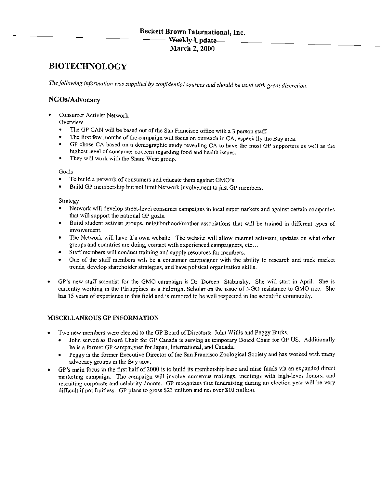# **Beckett Brown International, Inc. Weekly Update March 2, 2000**

# **BIOTECHNOLOGY**

*Thefollowing information was supplied by confidential sources and should be used with great discretion.*

### **NGOs/Advocacy**

**• Consumer Activist Network**

**Overview**

- The GP CAN will be based out of the San Francisco office with a 3 person staff.
- **The first few months** ofthe **campaign will focus on outreach in CA, especially the Bay area.**
- GP chose CA based on a demographic study revealing CA to have the most GP supporters as well as the highest **level of consumer concern regarding food and health issues.**
- **They will work with the Share West group.**

#### Goals

- To build a network of consumers and educate them against GMO's<br>• Build GP membership but not limit Network involvement to just GI
- Build GP membership but not limit Network involvement to just GP members.

#### Strategy

- **• Network will develop street-level consumer campaigns in local supermarkets and against certain companies** that will support the national GP goals.
- **• Build student activist groups, neighborhood/mother associations that will be trained in different types of involvement.**
- The Network will have it's own website. The website will allow internet activism, updates on what other **groups andcountries aredoing, contact with experiencedcampaigners, etc...**
- Staff members will conduct training and supply resources for members.
- One of the staff members will be a consumer campaigner with the ability to research and track market trends, develop shareholder strategies, and have political organization skills.
- GP's new staff scientist for the GMO campaign is Dr. Doreen Stabinsky. She will start in April. She is currently working in the Philippines as a Fulbright Scholar on the issue of NGO resistance to GMO rice. She has 15 years of experience in this field and is rumored to be well respected in the scientific community.

#### MISCELLANEOUS **GP INFORMATION**

- Two new members were elected to the GP Board of Directors: John Willis and Peggy Burks.
	- **John served as Board Chair for GP Canada is serving as temporary Board Chair for GP US. Additionally** he is a former GP campaigner for Japan, International, and Canada.
	- Peggy is the former Executive Director of the San Francisco Zoological Society and has worked with many advocacy groups in the Bay area.
- GP's main focus in the first half of 2000 is to build its membership base and raise funds via an expanded direct **marketing campaign. The campaign will involve numerous mailings, meetings with high-level donors, and recruiting corporate and celebrity donors. GP recognizes that fundraising during an election year will be very** difficult if not fruitless. GP plans to gross \$23 million and net over \$10 million.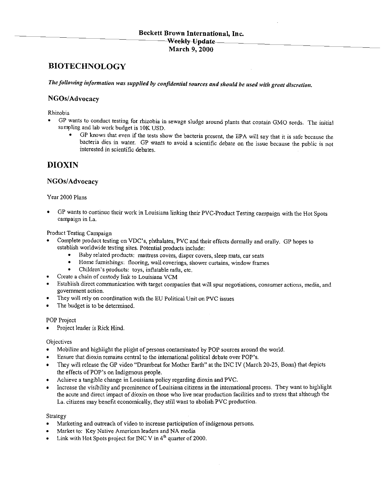# Beckett Brown International, Inc. Weekly Update March 9, 2000

# BIOTECHNOLOGY

*The following information was supplied by confidential sources and should be used with great discretion,* 

#### NGOs/Advocacy

Rhizobia

- GP wants to conduct testing for rhizobia in sewage sludge around plants that contain GMO seeds. The initial sampling and lab work budget is 10K USD.
	- GP knows that even if the tests show the bacteria present, the EPA will say that it is safe because the bacteria dies in water. GP wants to avoid a scientific debate on the issue because the public is not interested in scientific debates.

# DIOXIN

#### NGOs/Advocacy

Year 2000 Plans

• GP wants to continue their work in Louisiana linking their PVC-Product Testing campaign with the Hot Spots campaign in La.

Product Testing Campaign

- Complete product testing on VDC's, phthalates, PVC and their effects dermally and orally. GP hopes to establish worldwide testing sites. Potential products include:
	- Baby related products: mattress covers, diaper covers, sleep mats, car seats
	- Home furnishings: flooring, wall coverings, shower curtains, window frames
	- Children's products: toys, inflatable rafts, etc.
- Create a chain of custody link to Louisiana VCM
- Establish direct communication with target companies that will spur negotiations, consumer actions, media, and government action.
- They will rely on coordination with the EU Political Unit on PVC issues
- The budget is to be determined.

#### POP Project

Project leader is Rick Hind.

Objectives

- Mobilize and highlight the plight of persons contaminated by POP sources around the world.
- Ensure that dioxin remains central to the international political debate over POP's.
- o They will release the OP video "Drumbeat for Mother Earth" at the INC IV (March 20-25, Bonn) that depicts the effects of POP's on Indigenous people.
- Achieve a tangible change in Louisiana policy regarding dioxin and PVc.
- Increase the visibility and prominence of Louisiana citizens in the international process. They want to highlight the acute and direct impact of dioxin on those who live near production facilities and to stress that although the La. citizens rnay benefit economically, they still want to abolish PVC production.

#### Strategy

- Marketing and outreach of video to increase participation of indigenous persons.
- Market to: Key Native American leaders and NA media
- Link with Hot Spots project for INC V in  $4<sup>th</sup>$  quarter of 2000.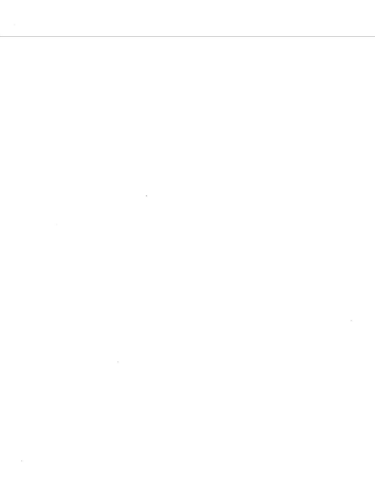$\sim 10^{-1}$ 

 $\label{eq:2.1} \frac{1}{\sqrt{2}}\int_{\mathbb{R}^3}\frac{1}{\sqrt{2}}\left(\frac{1}{\sqrt{2}}\right)^2\frac{1}{\sqrt{2}}\left(\frac{1}{\sqrt{2}}\right)^2\frac{1}{\sqrt{2}}\left(\frac{1}{\sqrt{2}}\right)^2\frac{1}{\sqrt{2}}\left(\frac{1}{\sqrt{2}}\right)^2\frac{1}{\sqrt{2}}\left(\frac{1}{\sqrt{2}}\right)^2\frac{1}{\sqrt{2}}\frac{1}{\sqrt{2}}\frac{1}{\sqrt{2}}\frac{1}{\sqrt{2}}\frac{1}{\sqrt{2}}\frac{1}{\sqrt{2}}$ 

 $\label{eq:2.1} \frac{1}{\sqrt{2}}\int_{\mathbb{R}^3} \frac{1}{\sqrt{2}}\left(\frac{1}{\sqrt{2}}\right)^2\frac{1}{\sqrt{2}}\left(\frac{1}{\sqrt{2}}\right)^2\frac{1}{\sqrt{2}}\left(\frac{1}{\sqrt{2}}\right)^2\frac{1}{\sqrt{2}}\left(\frac{1}{\sqrt{2}}\right)^2\frac{1}{\sqrt{2}}\left(\frac{1}{\sqrt{2}}\right)^2\frac{1}{\sqrt{2}}\frac{1}{\sqrt{2}}\frac{1}{\sqrt{2}}\frac{1}{\sqrt{2}}\frac{1}{\sqrt{2}}\frac{1}{\sqrt{2$ 

 $\sim$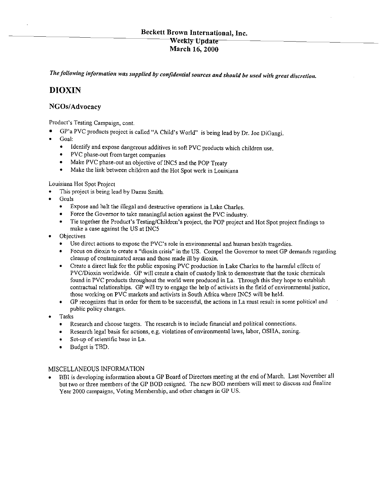### Beckett Brown International, Inc. Weekly Update March 16, 2000

*The following information was supplied by confidential sources and should be used with great discretion.*

# DIOXIN

#### NGOs/Advocacy

Product's Testing Campaign, cont.

- GP'a PVC products project is called "A Child's World" is being lead by Dr. Joe DiGangi.
- Goal:
	- Identify and expose dangerous additives in soft PVC products which children use.
	- PVC phase-out from target companies
	- Make PVC phase-out an objective of INC5 and the POP Treaty
	- Make the link between children and the Hot Spot work in Louisiana

Louisiana Hot Spot Project

- This project is being lead by Damu Smith.
- Goals
	- Expose and halt the illegal and destructive operations in Lake Charles.
	- Force the Governor to take meaningful action against the PVC industry.
	- Tie together the Product's Testing/Children's project, the POP project and Hot Spot project findings to make a case against the US at INCS
- **Objectives** 
	- Use direct actions to expose the PVC's role in environmental and human health tragedies.
	- Focus on dioxin to create a "dioxin crisis" in the US. Compel the Governor to meet GP demands regarding cleanup of contaminated areas and those made ill by dioxin.
	- Create a direct link for the public exposing PVC production in Lake Charles to the harmful effects of PVC/Dioxin worldwide. GP will create a chain of custody link to demonstrate that the toxic chemicals found in PVC products throughout the world were produced in La. Through this they hope to establish contractual relationships. GP will try to engage the help of activists in the field of environmental justice, those working on PVC markets and activists in South Africa where INCS will be held.
	- OP recognizes that in order for them to be successful, the actions in La must result in some political and public policy changes.
- Tasks
	- Research and choose targets. The research is to include financial and political connections.
	- Research legal basis for actions, e.g. violations of environmental laws, labor, OSHA, zoning.
	- Set-up of scientific base in La.
	- Budget is TBD.

#### MISCELLANEOUS INFORMATION

• BBI is developing information about a GP Board of Directors meeting at the end of March. Last November all but two or three members of the GP BOD resigned. The new BOD members will meet to discuss and finalize Year 2000 campaigns, Voting Membership, and other changes in GP US.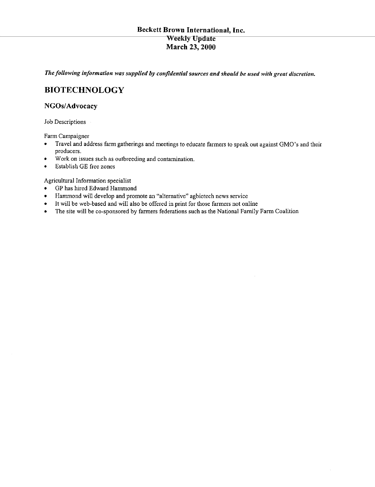*Tlte following information was supplied by confidential sources and should be used with great discretion.*

# **BIOTECHNOLOGY**

#### NGOs/**Advocacy**

**Job Descriptions**

**Farm Campaigner**

- Travel and address farm gatherings and meetings to educate farmers to speak out against GMO's and their **producers.**
- **Work on issues such as outbreeding and contamination.**
- Establish GE free zones

Agricultural Information specialist

- GP has hired Edward Hammond
- **• Hammond will develop andpromote an"alternative" agbiotech news service**
- It will be web-based and will also be offered in print for those farmers not online
- The site will be co-sponsored by farmers federations such as the National Family Farm Coalition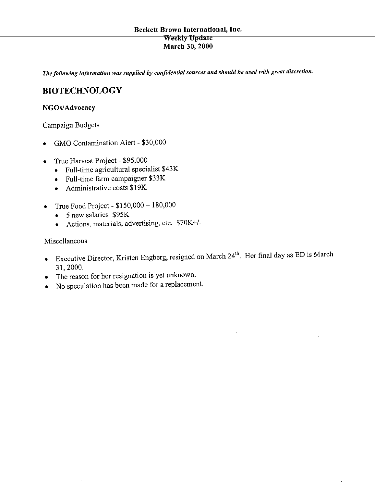*The following information was supplied by confidential sources and should be used witlt great discretion.*

# **BIOTECHNOLOGY**

### NGOs/**Advocacy**

Campaign Budgets

- GMO Contamination Alert \$30,000
- True Harvest Project \$95,000
	- Full-time agricultural specialist \$43K
	- Full-time farm campaigner \$33K
	- Administrative costs \$19K
- True Food Project  $$150,000 180,000$ 
	- 5 new salaries \$95K
	- Actions, materials, advertising, etc. \$70K+/-

### Miscellaneous

- Executive Director, Kristen Engberg, resigned on March  $24<sup>th</sup>$ . Her final day as ED is March 31,2000.
- The reason for her resignation is yet unknown.
- No speculation has been made for a replacement.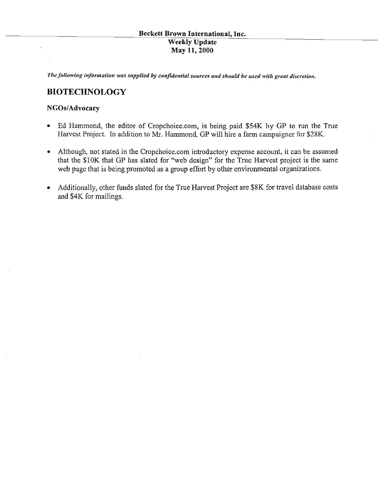*The following information was supplied* **by** *confidential sources and should be used with great discretion.*

# **BIOTECHNOLOGY**

### NGOs/**Advocacy**

- Ed Hammond, the editor of Cropchoice.com, is being paid \$54K by GP to run the True Harvest Project. In addition to Mr. Hammond, GP will hire a farm campaigner for \$28K.
- Although, not stated in the Cropchoice.com introductory expense account, it can be assumed that the \$1OK that GP has slated for "web design" for the True Harvest project is the same web page that is being promoted as a group effort by other environmental organizations.
- Additionally, other funds slated for the True Harvest Project are \$8K for travel database costs and \$4K for mailings.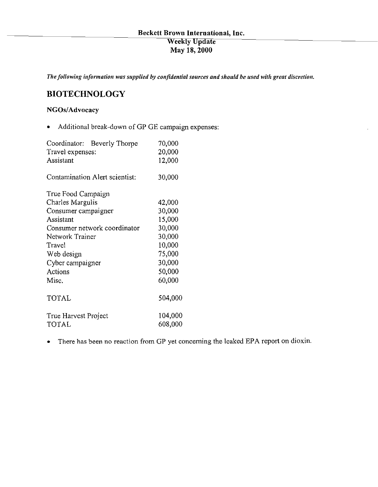*The following information was supplied by confidential sources and should be used with great discretion.*

# **BIOTECHNOLOGY**

## NGOs/Advocacy

• Additional break-down of GP GE campaign expenses:

| Coordinator: Beverly Thorpe    | 70,000  |
|--------------------------------|---------|
| Travel expenses:               | 20,000  |
| Assistant                      | 12,000  |
| Contamination Alert scientist: | 30,000  |
| True Food Campaign             |         |
| Charles Margulis               | 42,000  |
| Consumer campaigner            | 30,000  |
| Assistant                      | 15,000  |
| Consumer network coordinator   | 30,000  |
| Network Trainer                | 30,000  |
| Travel                         | 10,000  |
| Web design                     | 75,000  |
| Cyber campaigner               | 30,000  |
| Actions                        | 50,000  |
| Misc.                          | 60,000  |
| <b>TOTAL</b>                   | 504,000 |
| True Harvest Project           | 104,000 |
| TOTAL                          | 608,000 |

• There has been no reaction from GP yet concerning the leaked EPA report on dioxin.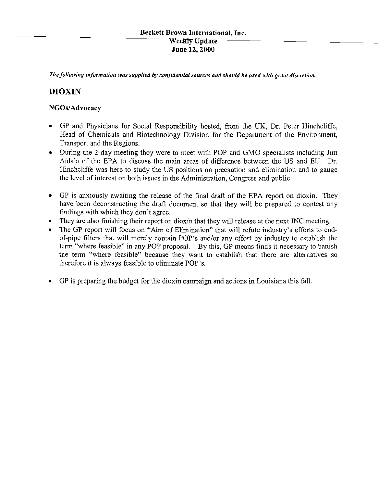*Tirefollowing information was supplied by confidential sources and should be used with great discretion.*

# **DIOXIN**

# NGOs/Advocacy

- GP and Physicians for Social Responsibility hosted, from the UK, Dr. Peter Hinchcliffe, Head of Chemicals and Biotechnology Division for the Department of the Environment, Transport and the Regions.
- During the 2-day meeting they were to meet with POP and GMO specialists including Jim Aidala of the EPA to discuss the main areas of difference between the US and ED. Dr. Hinchcliffe was here to study the US positions on precaution and elimination and to gauge the level of interest on both issues in the Administration, Congress and public.
- GP is anxiously awaiting the release of the final draft of the EPA report on dioxin. They have been deconstructing the draft document so that they will be prepared to contest any findings with which they don't agree.
- They are also finishing their report on dioxin that they will release at the next INC meeting.
- The GP report will focus on "Aim of Elimination" that will refute industry's efforts to endof-pipe filters that will merely contain POP's and/or any effort by industry to establish the term "where feasible" in any POP proposal. By this, GP means finds it necessary to banish the term "where feasible" because they want to establish that there are alternatives so therefore it is always feasible to eliminate POP's.
- GP is preparing the budget for the dioxin campaign and actions in Louisiana this fall.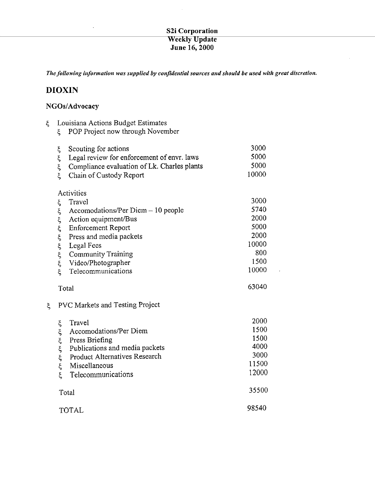### **82i Corporation Weekly Update June 16, 2000**

 $\overline{\phantom{a}}$ 

 $\ddot{\phantom{a}}$ 

*Thefollowing information was supplied by confidential sources and should be used with great discretion.*

 $\hat{\boldsymbol{\beta}}$ 

# **DIOXIN**

# NGOs/**Advocacy**

 $\overline{a}$ 

| ξ | Louisiana Actions Budget Estimates<br>POP Project now through November<br>ξ |              |
|---|-----------------------------------------------------------------------------|--------------|
|   | ξ<br>Scouting for actions                                                   | 3000         |
|   | Legal review for enforcement of envr. laws                                  | 5000         |
|   | ちと<br>Compliance evaluation of Lk. Charles plants                           | 5000         |
|   | ξ<br>Chain of Custody Report                                                | 10000        |
|   | Activities                                                                  |              |
|   | ξ<br>Travel                                                                 | 3000         |
|   | $\Lambda$ ccomodations/Per Diem $-10$ people                                | 5740         |
|   | Action equipment/Bus                                                        | 2000         |
|   | <b>Enforcement Report</b>                                                   | 5000<br>2000 |
|   | Press and media packets                                                     | 10000        |
|   | Legal Fees                                                                  | 800          |
|   | とちちととち<br><b>Community Training</b>                                         | 1500         |
|   | Video/Photographer<br>ξ<br>Telecommunications                               | 10000        |
|   | Total                                                                       | 63040        |
| ξ | <b>PVC Markets and Testing Project</b>                                      |              |
|   | Travel<br>ξ                                                                 | 2000         |
|   | Accomodations/Per Diem                                                      | 1500         |
|   | ちとちょ<br>Press Briefing                                                      | 1500         |
|   | Publications and media packets                                              | 4000         |
|   | <b>Product Alternatives Research</b>                                        | 3000         |
|   | Miscellaneous                                                               | 11500        |
|   | ξ<br>Telecommunications                                                     | 12000        |
|   | Total                                                                       | 35500        |
|   | <b>TOTAL</b>                                                                | 98540        |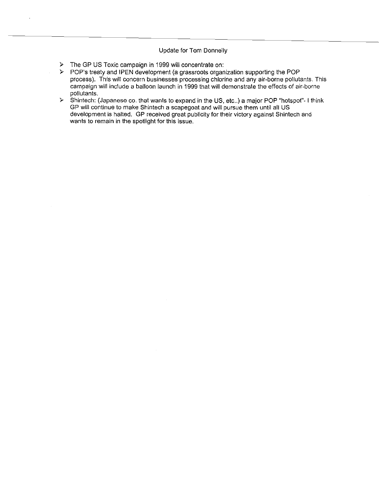#### Update for Tom Donnelly

- > The GP US Toxic campaign in 1999 will concentrate on:<br>
→ POP's treaty and IPFN development (a grassroots organ
- POP's treaty and IPEN development (a grassroots organization supporting the POP process). This will concern businesses processing chlorine and any air-borne pollutants. This campaign will include a balloon launch in 1999 that will demonstrate the effects of air-borne pollutants.
- l> Shintech: (Japanese co. that wants to expand in the US, etc..) a major POP "hotspot"- I think GP will continue to make Shintech a scapegoat and will pursue them until all US development is halted. GP received great publicity for their victory against Shintech and wants to remain in the spotlight for this issue.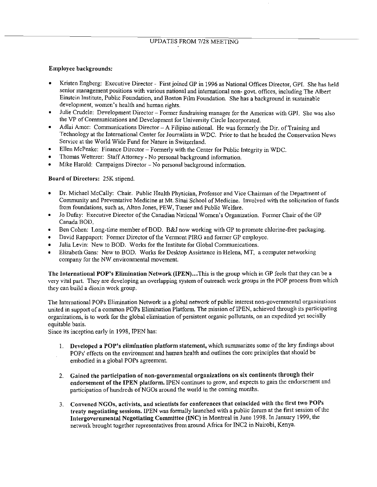#### Employee backgrounds:

- o Kristen Engberg: Executive Director First joined GP in 1996 as National Offices Director, GP!. She has held senior management positions with various national and international non- govt. offices, including The Albert Einstein Institute, Public Foundation, and Boston Film Foundation. She has a background in sustainable **development, women's health and human rights.**
- **Julie Crudele: Development Director Former fundraising manager for the Americas with GPI. She was also** the VP of Communications and Development for University Circle Incorporated.
- Adlai Amor: Communications Director  $-A$  Filipino national. He was formerly the Dir. of Training and Technology at the International Center for Journalists in WDC. Prior to that he headed the Conservation News Service at the World Wide Fund for Nature in Switzerland.
- Ellen McPeake: Finance Director Formerly with the Center for Public Integrity in WDC.
- Thomas Wetterer: Staff Attorney No personal background information.
- **Mike Harold: Campaigns Director - No personal background** information.

#### Board of Directors: 25K stipend.

- Dr. Michael McCally: Chair. Public Health Physician, Professor and Vice Chairman of the Department of **Community and Preventative Medicine at Mt. Sinai School of Medicine. Involved with the solicitation of funds** from foundations, such as, Alton Jones, PEW, Turner and Public Welfare.
- Jo Dufay: Executive Director of the Canadian National Women's Organization. Former Chair of the GP Canada BOD.
- Ben Cohen: Long-time member of BOD. B&J now working with GP to promote chlorine-free packaging.
- David Rappaport: Former Director of the Vermont PIRG and former GP employee.
- Julia Levin: New to BOD. Works for the Institute for Global Communications.
- o Elizabeth Gans: New to BOD. Works for Desktop Assistance in Helena, MT, a computer networking **company for the NW.environmental movement.**

The International POP's Elimination Network (IPEN)...This is the group which in GP feels that they can be a very vital part. They are developing an overlapping system of outreach work groups in the POP process from which they can build a dioxin work group.

The International POPs Elimination Network is a global network of public interest non-governmental organizations united in support of a common POPs Elimination Platform. The mission of IPEN, achieved through its participating organizations, is to work for the global elimination of persistent organic pollutants, on an expedited yet socially equitable basis.

Since its inception early in 1998, IPEN has:

- I. Developed a POP's elimination platform statement, which summarizes some of the key findings about POPs' effects on the environment and human health and outlines the core principles that should be embodied in a global POPs agreement.
- 2. Gained the participation of non-governmental organizations on six continents through their endorsement of the IPEN platform. IPEN continues to grow, and expects to gain the endorsement and participation of hundreds of NGOs around the world in the coming months.
- 3. Convened NGOs, activists, and scientists for conferences that coincided with the first two POPs treaty negotiating sessions. IPEN was formally launched with a public forum at the first session of the Intergovernmental Negotiating Committee (INC) in Montreal in June 1998. In January 1999, the network brought together representatives from around Africa for INCZ in Nairobi, Kenya.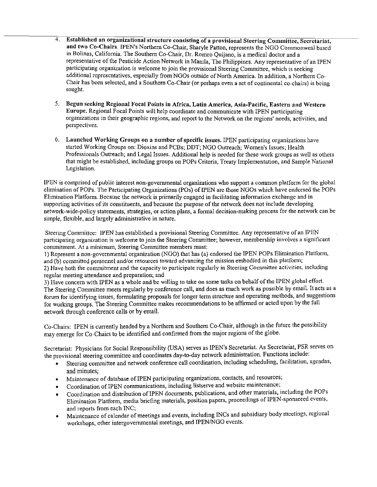- **4. Established an organizational structure consisting of a provisional Steering Committee, Secretariat,** and two Co-Chairs. IPEN's Northern Co-Chair, Sharyle Patton, represents the NGO Commonweal based **in Bolinas, California. The Southern Co-Chair, Dr. Romeo Quijano, is a medical doctor and a** representative of the Pesticide Action Network in Manila, The Philippines. Any representative of an IPEN **participating organization is welcome to join the provisional Steering Committee, which is seeking** additional representatives, especially from NGOs outside of North America. In addition, a Northern Co-**Chair has been selected, and a Southern Co-Chair (or perhaps even a set of continental co-chairs) is being** sought.
- **5. Begun seeking Regional Focal Points in Africa, Latin America, Asia-Pacific, Eastern and Western** Europe. Regional Focal Points will help coordinate and communicate with IPEN participating **organizations in their geographic regions, and report to the Network on the regions' needs, activities, and perspectives.**
- 6. Launched Working Groups on a number of specific issues. IPEN participating organizations have started Working Groups on: Dioxins and PCBs; DDT; NGO Outreach; Women's Issues; Health Professionals Outreach; and Legal Issues. Additional help is needed for these work groups as well as others that might be established, including groups on POPs Criteria, Treaty Implementation, and Sample National **Legislation.**

**IPEN is comprised ofpublic interest non-govenunental organizations who support a conunon platform for the global** elimination of POPs. The Participating Organizations (POs) of IPEN are those NGOs which have endorsed the POPs Elimination Platform. Because the network is primarily engaged in facilitating information exchange and in supporting activities of its constituents, and because the purpose of the network does not include developing network-wide-policy statements, strategies, or action plans, a formal decision-making process for the network can be simple, flexible, and largely administrative in nature.

Steering Committee: IPEN has established a provisional Steering Committee. Any representative of an lPEN **participating organization is welcome to join the Steering** Committee; **however, membership involves a significant commitment. At a minimum, Steering Committee members must:**

I) Represent a non-governmental organization (NGO) that has (a) endorsed the IPEN POPs Elimination Platform, **and (b) committed personnel and/or resources toward advancing the mission embodied in this platform; 2) Have both the commitment and the capacity to participate regularly in Steering Cormnittee activities, including regular meeting attendance and preparation; and**

3) Have concern with IPEN as a whole and be willing to take on some tasks on behalf of the IPEN global effort. The Steering Committee meets regularly by conference call, and does as much work as possible by email. It acts as a forum for identifying issues, formulating proposals for longer term structure and operating methods, and suggestions for working groups. The Steering Committee makes recommendations to be affirmed or acted upon by the full network through conference calls or by email.

Co-Chairs: IPEN is currently headed by a Northern and Southern Co-Chair, although in the future the possibility may emerge for Co-Chairs to be identified and confirmed from the major regions of the globe.

Secretariat: Physicians for Social Responsibility (USA) serves as IPEN's Secretariat. As Secretariat, PSR serves on the provisional steering committee and coordinates day-to-day network administration. Functions include:

- Steering committee and network conference call coordination, including scheduling, facilitation, agendas, and minutes;
- **• Maintenance of database ofIPEN participating organizations, contacts, and resources;**
- **• Coordination ofIPEN communications, including listserve and website maintenance;**
- Coordination and distribution of IPEN documents, publications, and other materials, including the POPs **Elimination Platform, media briefing materials, position papers, proceedings** ofIPEN-sponsored **events,** and reports from each INC;
- **• Maintenance of calendar of meetings and events, including INCs and subsidiary body meetings, regional** workshops, other intergovernmental meetings, and IPENINGO events.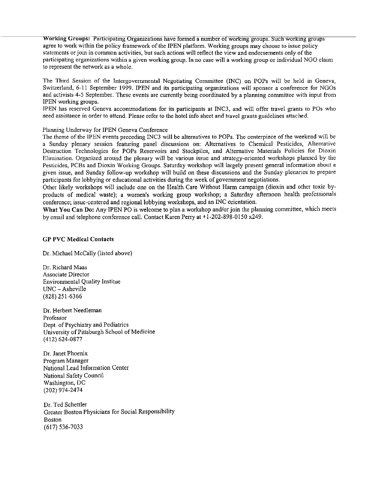**Working Groups:** Participating Organizations have formed a number of working groups. Such working groups agree to work within the policy framework of the IPEN platform. Working groups may choose to issue policy **statements orjoin in common activities, but such actions will reflect the view and endorsements only** ofthe **participating organizations within a given working group. In no case will a working group or individual NGO claim to represent the network as a whole.**

The Third Session of the Intergovernmental Negotiating Committee (INC) on POPs will be held in Geneva, **Switzerland, 6-11 September 1999. IPEN and its participating organizations will sponsor a conference for NGOs and activists 4-5 September. These events are currently being coordinated by a** planning **committee with input from** IPEN working groups.

**IPEN has reserved Geneva accommodations for its participants at INC3, and will offer travel grants to POs who need assistance in order to attend. Please refer to the hotel info sheet and travel grants guidelines attached.**

#### Planning Underway for IPEN Geneva Conference

The theme of the IPEN events preceding INC3 will be alternatives to POPs. The centerpiece of the weekend will be **a Sunday plenary session featuring panel discussions on: Alternatives to Chemical Pesticides, Alternative** Destruction Technologies for POPs Reservoirs and Stockpiles, and Alternative Materials Policies for Dioxin Elimination. Organized around the plenary will be various issue and strategy-oriented workshops planned by the **Pesticides, PCBs and Dioxin Working Groups. Saturday workshop** will largely **present general information about a** given issue, and Sunday follow-up workshop will build on these discussions and the Sunday plenaries to prepare participants for lobbying or educational activities during the week of government negotiations.

Other likely workshops will include one on the Health Care Without Harm campaign (dioxin and other toxic byproducts of medical waste); a women's working group workshop; a Saturday afternoon health professionals conference; issue-centered and regional lobbying workshops, and an INC orientation.

What You Can Do: Any IPEN PO is welcome to plan a workshop and/or join the planning committee, which meets by email and telephone conference call. Contact Karen Perry at +1-202-898-0150 x249.

#### GP PVC Medical Contacts

Dr. Michael McCally (listed above)

Dr. Richard Maas **Associate Director** Environmental Quality Institue UNC - Asheville (828) 251-6366

Dr. Herbert Needleman **Professor** Dept. of Psychiatry and Pediatrics University of Pittsburgh School of Medicine (412) 624-0877

Dr. Janet Phoenix Program Manager National Lead Information Center National Safety Council Washington, DC (202) 974-2474

Dr. Ted Schettler Greater Boston Physicians for Social Responsibility Boston (617) 536-7033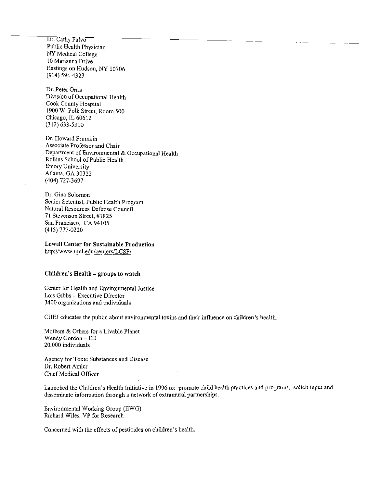Dr. Cathy Falvo Public Health Physician NY Medical College 10 Marianna Drive Hastings on Hudson, NY 10706 (914) 594-4323

Dr. Peter Orris Division of Occupational Health Cook County Hospital 1900 W. Polk Street, Room 500 Chicago, IL 60612 (312) 633-5310

Dr. Howard Frumkin Associate Professor and Chair Department of Environmental & Occupational Health Rollins School of Public Health Emory University Atlanta, GA 30322 (404) 727-3697

Dr. Gina Solomon Senior Scientist, Public Health Program Natural Resources Defense Council 71 Stevenson Street, # 1825 San Francisco, CA 94105 (415) 777-0220

Lowell Center for Sustainable Production http://www.uml.edu/centers/LCSP/

#### Children's Health  $-$  groups to watch

Center for Health and Environmental Justice Lois Gibbs - Executive Director 3400 organizations and individuals

CHEJ educates the public about environmental toxins and their influence on children's health.

Mothers & Others for a Livable Planet Wendy Gordon - ED 20,000 individuals

Agency for Toxic Substances and Disease Dr. Robert Amler Chief Medical Officer

Launched the Children's Health Initiative in 1996 to: promote child health practices and programs, solicit input and **disseminate information through a network of extramural partnerships.**

Environmental Working Group (EWG) Richard Wiles, VP for Research

Concerned with the effects of pesticides on children's health.